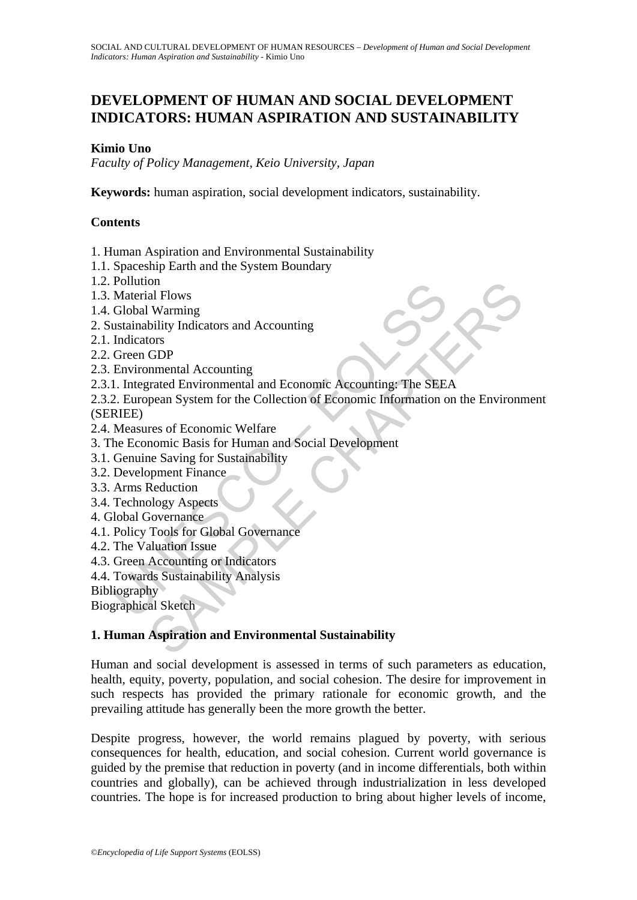# **DEVELOPMENT OF HUMAN AND SOCIAL DEVELOPMENT INDICATORS: HUMAN ASPIRATION AND SUSTAINABILITY**

# **Kimio Uno**

*Faculty of Policy Management, Keio University, Japan* 

**Keywords:** human aspiration, social development indicators, sustainability.

# **Contents**

- 1. Human Aspiration and Environmental Sustainability
- 1.1. Spaceship Earth and the System Boundary
- 1.2. Pollution
- 1.3. Material Flows
- 1.4. Global Warming
- 2. Sustainability Indicators and Accounting
- 2.1. Indicators
- 2.2. Green GDP
- 2.3. Environmental Accounting
- 2.3.1. Integrated Environmental and Economic Accounting: The SEEA
- Following<br>
Material Flows<br>
Mobal Warming<br>
ustainability Indicators<br>
any indicators<br>
Green GDP<br>
I. Integrated Environmental and Economic Accounting: The SEE<br>
2. European System for the Collection of Economic Information of<br> on<br>
al Flows<br>
al Flows<br>
Warming<br>
bility Indicators and Accounting<br>
GDP<br>
onmental Accounting<br>
GDP<br>
mmental Accounting<br>
crace of Economic Mechanic Accounting: The SEEA<br>
pean System for the Collection of Economic Information 2.3.2. European System for the Collection of Economic Information on the Environment (SERIEE)
- 2.4. Measures of Economic Welfare
- 3. The Economic Basis for Human and Social Development
- 3.1. Genuine Saving for Sustainability
- 3.2. Development Finance
- 3.3. Arms Reduction
- 3.4. Technology Aspects
- 4. Global Governance
- 4.1. Policy Tools for Global Governance
- 4.2. The Valuation Issue
- 4.3. Green Accounting or Indicators
- 4.4. Towards Sustainability Analysis

Bibliography

Biographical Sketch

## **1. Human Aspiration and Environmental Sustainability**

Human and social development is assessed in terms of such parameters as education, health, equity, poverty, population, and social cohesion. The desire for improvement in such respects has provided the primary rationale for economic growth, and the prevailing attitude has generally been the more growth the better.

Despite progress, however, the world remains plagued by poverty, with serious consequences for health, education, and social cohesion. Current world governance is guided by the premise that reduction in poverty (and in income differentials, both within countries and globally), can be achieved through industrialization in less developed countries. The hope is for increased production to bring about higher levels of income,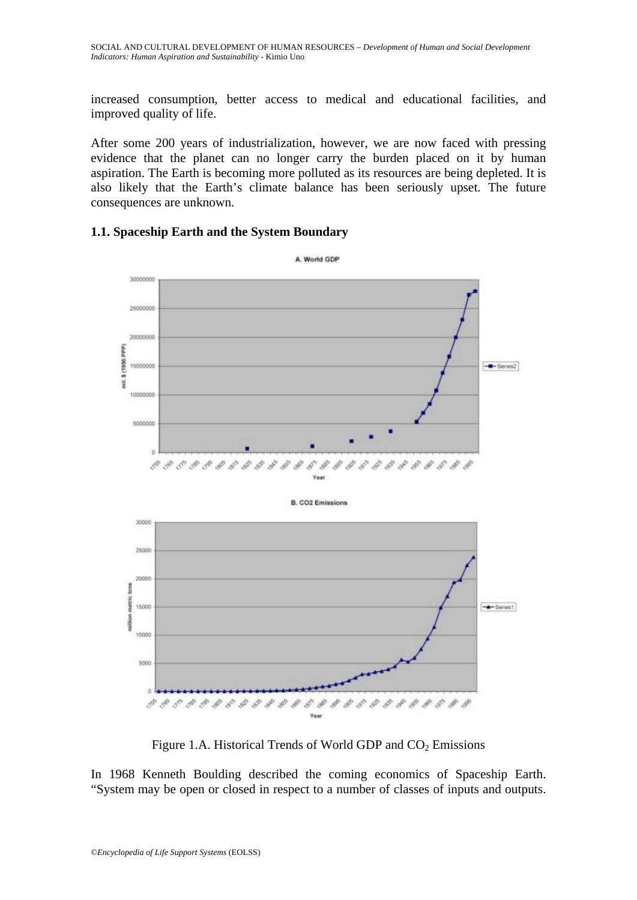increased consumption, better access to medical and educational facilities, and improved quality of life.

After some 200 years of industrialization, however, we are now faced with pressing evidence that the planet can no longer carry the burden placed on it by human aspiration. The Earth is becoming more polluted as its resources are being depleted. It is also likely that the Earth's climate balance has been seriously upset. The future consequences are unknown.

### **1.1. Spaceship Earth and the System Boundary**



Figure 1.A. Historical Trends of World GDP and  $CO<sub>2</sub>$  Emissions

In 1968 Kenneth Boulding described the coming economics of Spaceship Earth. "System may be open or closed in respect to a number of classes of inputs and outputs.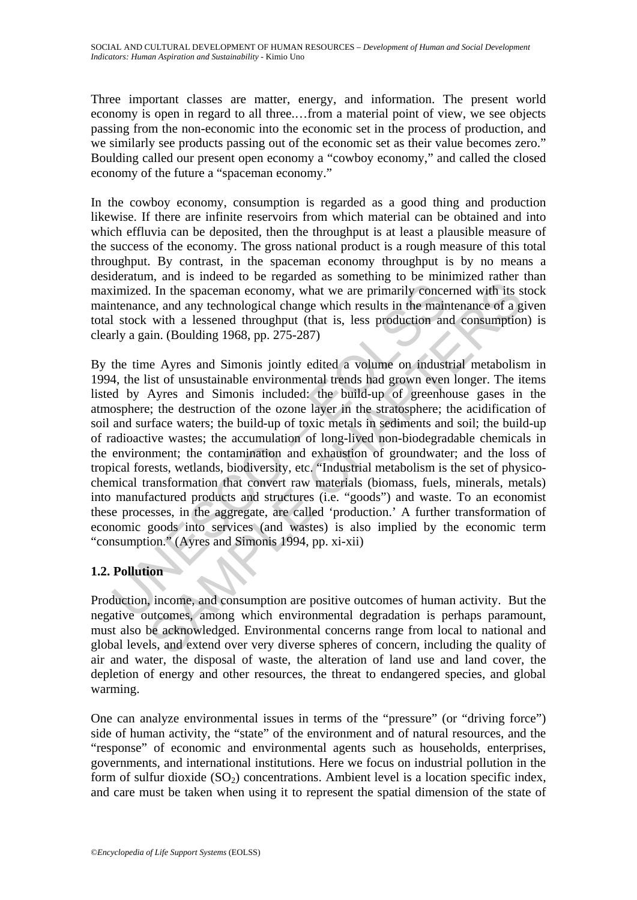Three important classes are matter, energy, and information. The present world economy is open in regard to all three.…from a material point of view, we see objects passing from the non-economic into the economic set in the process of production, and we similarly see products passing out of the economic set as their value becomes zero." Boulding called our present open economy a "cowboy economy," and called the closed economy of the future a "spaceman economy."

In the cowboy economy, consumption is regarded as a good thing and production likewise. If there are infinite reservoirs from which material can be obtained and into which effluvia can be deposited, then the throughput is at least a plausible measure of the success of the economy. The gross national product is a rough measure of this total throughput. By contrast, in the spaceman economy throughput is by no means a desideratum, and is indeed to be regarded as something to be minimized rather than maximized. In the spaceman economy, what we are primarily concerned with its stock maintenance, and any technological change which results in the maintenance of a given total stock with a lessened throughput (that is, less production and consumption) is clearly a gain. (Boulding 1968, pp. 275-287)

imized. In the spaceman economy, what we are primarily conce<br>thenance, and any technological change which results in the main<br>1 stock with a lessened throughput (that is, less production an<br>rly a gain. (Boulding 1968, pp. The summarized consideration consideration in the spacement economy, what we are primarily concerned with its see, and any technological change which results in the maintenance of a g with a lessened throughput (that is, By the time Ayres and Simonis jointly edited a volume on industrial metabolism in 1994, the list of unsustainable environmental trends had grown even longer. The items listed by Ayres and Simonis included: the build-up of greenhouse gases in the atmosphere; the destruction of the ozone layer in the stratosphere; the acidification of soil and surface waters; the build-up of toxic metals in sediments and soil; the build-up of radioactive wastes; the accumulation of long-lived non-biodegradable chemicals in the environment; the contamination and exhaustion of groundwater; and the loss of tropical forests, wetlands, biodiversity, etc. "Industrial metabolism is the set of physicochemical transformation that convert raw materials (biomass, fuels, minerals, metals) into manufactured products and structures (i.e. "goods") and waste. To an economist these processes, in the aggregate, are called 'production.' A further transformation of economic goods into services (and wastes) is also implied by the economic term "consumption." (Ayres and Simonis 1994, pp. xi-xii)

# **1.2. Pollution**

Production, income, and consumption are positive outcomes of human activity. But the negative outcomes, among which environmental degradation is perhaps paramount, must also be acknowledged. Environmental concerns range from local to national and global levels, and extend over very diverse spheres of concern, including the quality of air and water, the disposal of waste, the alteration of land use and land cover, the depletion of energy and other resources, the threat to endangered species, and global warming.

One can analyze environmental issues in terms of the "pressure" (or "driving force") side of human activity, the "state" of the environment and of natural resources, and the "response" of economic and environmental agents such as households, enterprises, governments, and international institutions. Here we focus on industrial pollution in the form of sulfur dioxide  $(SO<sub>2</sub>)$  concentrations. Ambient level is a location specific index, and care must be taken when using it to represent the spatial dimension of the state of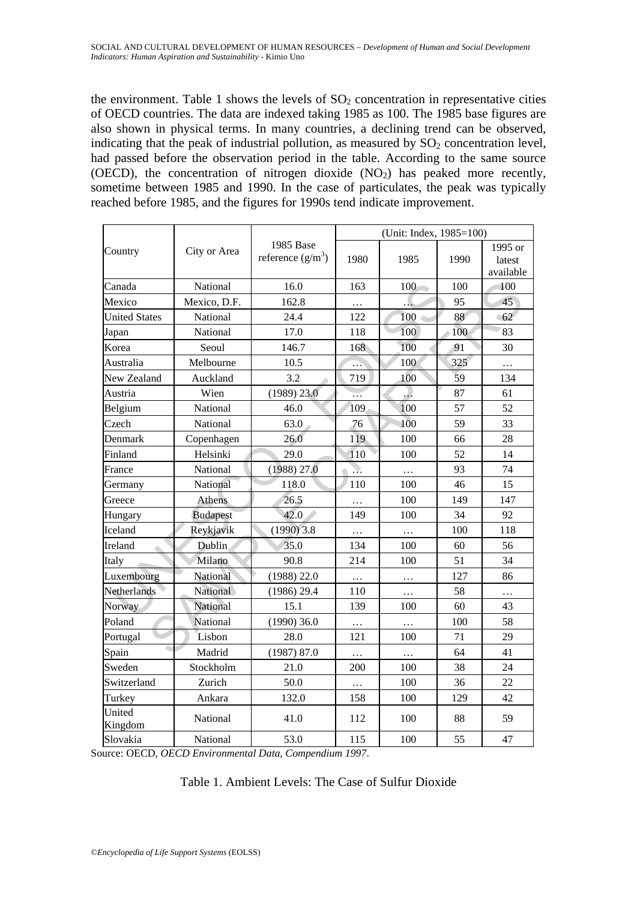the environment. Table 1 shows the levels of  $SO<sub>2</sub>$  concentration in representative cities of OECD countries. The data are indexed taking 1985 as 100. The 1985 base figures are also shown in physical terms. In many countries, a declining trend can be observed, indicating that the peak of industrial pollution, as measured by  $SO_2$  concentration level, had passed before the observation period in the table. According to the same source (OECD), the concentration of nitrogen dioxide  $(NO<sub>2</sub>)$  has peaked more recently, sometime between 1985 and 1990. In the case of particulates, the peak was typically reached before 1985, and the figures for 1990s tend indicate improvement.

|                      |                 |                                  | (Unit: Index, 1985=100) |               |      |                                |
|----------------------|-----------------|----------------------------------|-------------------------|---------------|------|--------------------------------|
| Country              | City or Area    | 1985 Base<br>reference $(g/m^3)$ | 1980                    | 1985          | 1990 | 1995 or<br>latest<br>available |
| Canada               | National        | 16.0                             | 163                     | 100           | 100  | 100                            |
| Mexico               | Mexico, D.F.    | 162.8                            | $\cdots$                |               | 95   | 45                             |
| <b>United States</b> | National        | 24.4                             | 122                     | 100<br>$\sim$ | 88   | 62                             |
| Japan                | National        | 17.0                             | 118                     | 100           | 100  | 83                             |
| Korea                | Seoul           | 146.7                            | 168                     | 100           | 91   | 30                             |
| Australia            | Melbourne       | 10.5                             | .                       | 100           | 325  | .                              |
| New Zealand          | Auckland        | 3.2                              | 719                     | 100           | 59   | 134                            |
| Austria              | Wien            | $(1989)$ 23.0                    | .                       | $\mathcal{L}$ | 87   | 61                             |
| Belgium              | National        | 46.0                             | 109                     | 100           | 57   | 52                             |
| Czech                | National        | 63.0                             | 76                      | 100           | 59   | 33                             |
| Denmark              | Copenhagen      | 26.0                             | 119                     | 100           | 66   | 28                             |
| Finland              | Helsinki        | 29.0                             | 110                     | 100           | 52   | 14                             |
| France               | National        | (1988) 27.0                      | Ŋ.                      | $\ldots$      | 93   | 74                             |
| Germany              | National        | 118.0                            | 110                     | 100           | 46   | 15                             |
| Greece               | <b>Athens</b>   | 26.5                             | .                       | 100           | 149  | 147                            |
| Hungary              | <b>Budapest</b> | 42.0                             | 149                     | 100           | 34   | 92                             |
| Iceland              | Reykjavik       | $(1990)$ 3.8                     | $\cdots$                | $\cdots$      | 100  | 118                            |
| Ireland              | Dublin          | 35.0                             | 134                     | 100           | 60   | 56                             |
| Italy                | Milano          | 90.8                             | 214                     | 100           | 51   | 34                             |
| Luxembourg           | National        | $(1988)$ 22.0                    | $\ldots$                | $\cdots$      | 127  | 86                             |
| Netherlands          | National        | $(1986)$ 29.4                    | 110                     | $\ldots$      | 58   | .                              |
| Norway               | National        | 15.1                             | 139                     | 100           | 60   | 43                             |
| Poland               | National        | $(1990)$ 36.0                    | .                       | $\cdots$      | 100  | 58                             |
| Portugal             | Lisbon          | 28.0                             | 121                     | 100           | 71   | 29                             |
| Spain                | Madrid          | (1987) 87.0                      | $\cdots$                | $\ldots$      | 64   | 41                             |
| Sweden               | Stockholm       | 21.0                             | 200                     | 100           | 38   | 24                             |
| Switzerland          | Zurich          | 50.0                             | $\ldots$                | 100           | 36   | 22                             |
| Turkey               | Ankara          | 132.0                            | 158                     | 100           | 129  | 42                             |
| United<br>Kingdom    | National        | 41.0                             | 112                     | 100           | 88   | 59                             |
| Slovakia             | National        | 53.0                             | 115                     | 100           | 55   | 47                             |

Source: OECD, *OECD Environmental Data, Compendium 1997*.

### Table 1. Ambient Levels: The Case of Sulfur Dioxide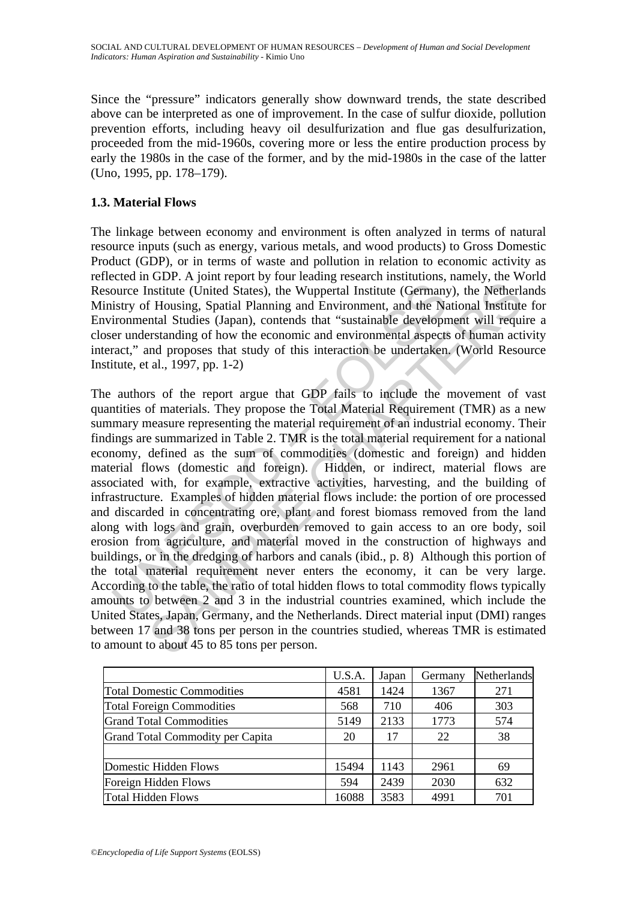Since the "pressure" indicators generally show downward trends, the state described above can be interpreted as one of improvement. In the case of sulfur dioxide, pollution prevention efforts, including heavy oil desulfurization and flue gas desulfurization, proceeded from the mid-1960s, covering more or less the entire production process by early the 1980s in the case of the former, and by the mid-1980s in the case of the latter (Uno, 1995, pp. 178–179).

# **1.3. Material Flows**

The linkage between economy and environment is often analyzed in terms of natural resource inputs (such as energy, various metals, and wood products) to Gross Domestic Product (GDP), or in terms of waste and pollution in relation to economic activity as reflected in GDP. A joint report by four leading research institutions, namely, the World Resource Institute (United States), the Wuppertal Institute (Germany), the Netherlands Ministry of Housing, Spatial Planning and Environment, and the National Institute for Environmental Studies (Japan), contends that "sustainable development will require a closer understanding of how the economic and environmental aspects of human activity interact," and proposes that study of this interaction be undertaken. (World Resource Institute, et al., 1997, pp. 1-2)

ource Institute (United States), the Wuppertal Institute (Germany<br>istry of Housing, Spatial Planning and Environment, and the Na<br>ironmental Studies (Japan), contends that "sustainable developper<br>er understanding of how the Considerative, the Wuppertal Institute (Germany), the Netherlands institute (United States), the Wuppertal Institute (Germany), the Netherlal Housing, Spatial Planning and Environment, and the National Institute Housing, The authors of the report argue that GDP fails to include the movement of vast quantities of materials. They propose the Total Material Requirement (TMR) as a new summary measure representing the material requirement of an industrial economy. Their findings are summarized in Table 2. TMR is the total material requirement for a national economy, defined as the sum of commodities (domestic and foreign) and hidden material flows (domestic and foreign). Hidden, or indirect, material flows are associated with, for example, extractive activities, harvesting, and the building of infrastructure. Examples of hidden material flows include: the portion of ore processed and discarded in concentrating ore, plant and forest biomass removed from the land along with logs and grain, overburden removed to gain access to an ore body, soil erosion from agriculture, and material moved in the construction of highways and buildings, or in the dredging of harbors and canals (ibid., p. 8) Although this portion of the total material requirement never enters the economy, it can be very large. According to the table, the ratio of total hidden flows to total commodity flows typically amounts to between 2 and 3 in the industrial countries examined, which include the United States, Japan, Germany, and the Netherlands. Direct material input (DMI) ranges between 17 and 38 tons per person in the countries studied, whereas TMR is estimated to amount to about 45 to 85 tons per person.

|                                   | U.S.A. | Japan | Germany | Netherlands |
|-----------------------------------|--------|-------|---------|-------------|
| <b>Total Domestic Commodities</b> | 4581   | 1424  | 1367    | 271         |
| <b>Total Foreign Commodities</b>  | 568    | 710   | 406     | 303         |
| <b>Grand Total Commodities</b>    | 5149   | 2133  | 1773    | 574         |
| Grand Total Commodity per Capita  | 20     | 17    | 22      | 38          |
|                                   |        |       |         |             |
| Domestic Hidden Flows             | 15494  | 1143  | 2961    | 69          |
| Foreign Hidden Flows              | 594    | 2439  | 2030    | 632         |
| <b>Total Hidden Flows</b>         | 16088  | 3583  | 4991    | 701         |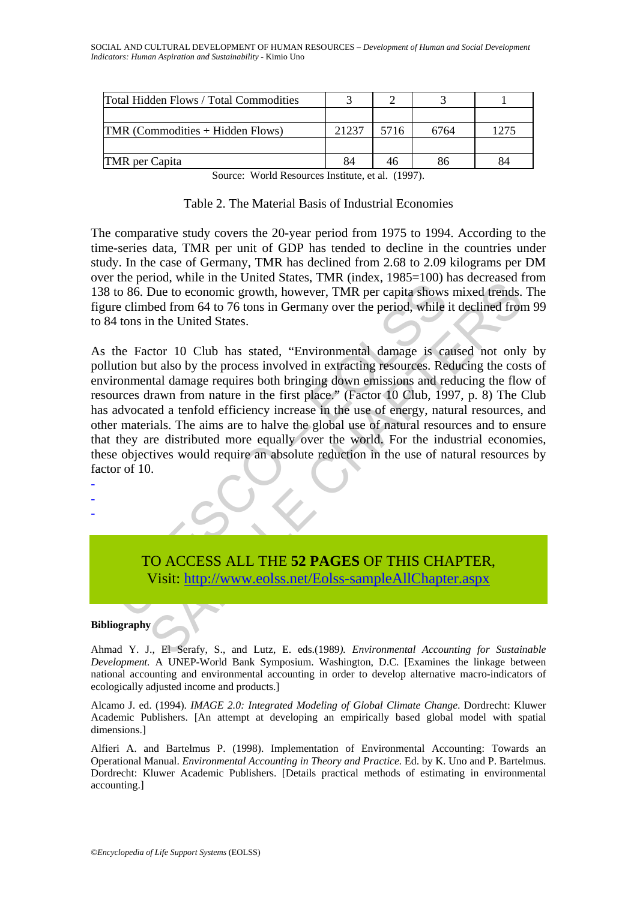| Total Hidden Flows / Total Commodities |       |      |      |      |
|----------------------------------------|-------|------|------|------|
|                                        |       |      |      |      |
| TMR (Commodities + Hidden Flows)       | 21237 | 5716 | 6764 | 1275 |
|                                        |       |      |      |      |
| <b>TMR</b> per Capita                  |       |      |      |      |

Source: World Resources Institute, et al. (1997).

|  | Table 2. The Material Basis of Industrial Economies |
|--|-----------------------------------------------------|
|--|-----------------------------------------------------|

The comparative study covers the 20-year period from 1975 to 1994. According to the time-series data, TMR per unit of GDP has tended to decline in the countries under study. In the case of Germany, TMR has declined from 2.68 to 2.09 kilograms per DM over the period, while in the United States, TMR (index, 1985=100) has decreased from 138 to 86. Due to economic growth, however, TMR per capita shows mixed trends. The figure climbed from 64 to 76 tons in Germany over the period, while it declined from 99 to 84 tons in the United States.

The Figure II and the United States, That and the Prophet of 86. Due to economic growth, however, TMR per capita shows<br>re climbed from 64 to 76 tons in Germany over the period, while<br>4 tons in the United States.<br>4 tons in From the Content of Mac, Trint (mac, 1702–1700) mas decreased the BDue to economic growth, however, TMR per capita shows mixed frends.<br>Bue to economic growth, however, TMR per capita shows mixed frends.<br>Bed from 64 to 76 t As the Factor 10 Club has stated, "Environmental damage is caused not only by pollution but also by the process involved in extracting resources. Reducing the costs of environmental damage requires both bringing down emissions and reducing the flow of resources drawn from nature in the first place." (Factor 10 Club, 1997, p. 8) The Club has advocated a tenfold efficiency increase in the use of energy, natural resources, and other materials. The aims are to halve the global use of natural resources and to ensure that they are distributed more equally over the world. For the industrial economies, these objectives would require an absolute reduction in the use of natural resources by factor of 10.

- -

-

TO ACCESS ALL THE **52 PAGES** OF THIS CHAPTER, Visit: http://www.eolss.net/Eolss-sampleAllChapter.aspx

#### **Bibliography**

Ahmad Y. J., El Serafy, S., and Lutz, E. eds.(1989*). Environmental Accounting for Sustainable Development.* A UNEP-World Bank Symposium. Washington, D.C. [Examines the linkage between national accounting and environmental accounting in order to develop alternative macro-indicators of ecologically adjusted income and products.]

Alcamo J. ed. (1994). *IMAGE 2.0: Integrated Modeling of Global Climate Change*. Dordrecht: Kluwer Academic Publishers. [An attempt at developing an empirically based global model with spatial dimensions.]

Alfieri A. and Bartelmus P. (1998). Implementation of Environmental Accounting: Towards an Operational Manual. *Environmental Accounting in Theory and Practice.* Ed. by K. Uno and P. Bartelmus. Dordrecht: Kluwer Academic Publishers. [Details practical methods of estimating in environmental accounting.]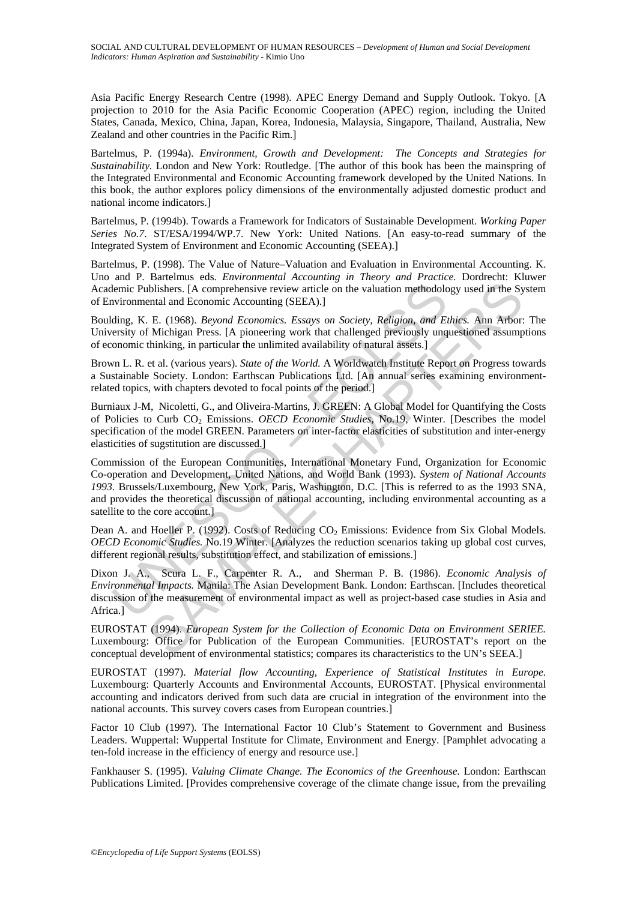Asia Pacific Energy Research Centre (1998). APEC Energy Demand and Supply Outlook. Tokyo. [A projection to 2010 for the Asia Pacific Economic Cooperation (APEC) region, including the United States, Canada, Mexico, China, Japan, Korea, Indonesia, Malaysia, Singapore, Thailand, Australia, New Zealand and other countries in the Pacific Rim.]

Bartelmus, P. (1994a). *Environment, Growth and Development: The Concepts and Strategies for Sustainability.* London and New York: Routledge. [The author of this book has been the mainspring of the Integrated Environmental and Economic Accounting framework developed by the United Nations. In this book, the author explores policy dimensions of the environmentally adjusted domestic product and national income indicators.]

Bartelmus, P. (1994b). Towards a Framework for Indicators of Sustainable Development. *Working Paper Series No.7*. ST/ESA/1994/WP.7. New York: United Nations. [An easy-to-read summary of the Integrated System of Environment and Economic Accounting (SEEA).]

Bartelmus, P. (1998). The Value of Nature–Valuation and Evaluation in Environmental Accounting. K. Uno and P. Bartelmus eds. *Environmental Accounting in Theory and Practice.* Dordrecht: Kluwer Academic Publishers. [A comprehensive review article on the valuation methodology used in the System of Environmental and Economic Accounting (SEEA).]

Boulding, K. E. (1968). *Beyond Economics. Essays on Society, Religion, and Ethics.* Ann Arbor: The University of Michigan Press. [A pioneering work that challenged previously unquestioned assumptions of economic thinking, in particular the unlimited availability of natural assets.]

Brown L. R. et al. (various years). *State of the World.* A Worldwatch Institute Report on Progress towards a Sustainable Society. London: Earthscan Publications Ltd. [An annual series examining environmentrelated topics, with chapters devoted to focal points of the period.]

Burniaux J-M, Nicoletti, G., and Oliveira-Martins, J. GREEN: A Global Model for Quantifying the Costs of Policies to Curb CO2 Emissions. *OECD Economic Studies,* No.19, Winter. [Describes the model specification of the model GREEN. Parameters on inter-factor elasticities of substitution and inter-energy elasticities of sugstitution are discussed.]

lemic Publishers. [A comprehensive review article on the valuation methodolorironmental and Economic Accounting (SEEA).]<br>
ding, K. E. (1968). *Beyond Economics. Essays on Society, Religion, and Elersivi of Michigan Press.* Extreme the conomic Accounting the Nation and Transmitter Section F. The CHOSSIDENTS. I.A comprehensive review article on the valuation methodology used in the System Incline (SEEA). E. (1968). *Beyond Economic S. Essays* Commission of the European Communities, International Monetary Fund, Organization for Economic Co-operation and Development, United Nations, and World Bank (1993). *System of National Accounts 1993.* Brussels/Luxembourg, New York, Paris, Washington, D.C. [This is referred to as the 1993 SNA, and provides the theoretical discussion of national accounting, including environmental accounting as a satellite to the core account.]

Dean A. and Hoeller P. (1992). Costs of Reducing CO<sub>2</sub> Emissions: Evidence from Six Global Models. *OECD Economic Studies.* No.19 Winter. [Analyzes the reduction scenarios taking up global cost curves, different regional results, substitution effect, and stabilization of emissions.]

Dixon J. A., Scura L. F., Carpenter R. A., and Sherman P. B. (1986). *Economic Analysis of Environmental Impacts.* Manila: The Asian Development Bank. London: Earthscan. [Includes theoretical discussion of the measurement of environmental impact as well as project-based case studies in Asia and Africa.]

EUROSTAT (1994). *European System for the Collection of Economic Data on Environment SERIEE.* Luxembourg: Office for Publication of the European Communities. [EUROSTAT's report on the conceptual development of environmental statistics; compares its characteristics to the UN's SEEA.]

EUROSTAT (1997). *Material flow Accounting, Experience of Statistical Institutes in Europe.* Luxembourg: Quarterly Accounts and Environmental Accounts, EUROSTAT. [Physical environmental accounting and indicators derived from such data are crucial in integration of the environment into the national accounts. This survey covers cases from European countries.]

Factor 10 Club (1997). The International Factor 10 Club's Statement to Government and Business Leaders. Wuppertal: Wuppertal Institute for Climate, Environment and Energy. [Pamphlet advocating a ten-fold increase in the efficiency of energy and resource use.]

Fankhauser S. (1995). *Valuing Climate Change. The Economics of the Greenhouse.* London: Earthscan Publications Limited. [Provides comprehensive coverage of the climate change issue, from the prevailing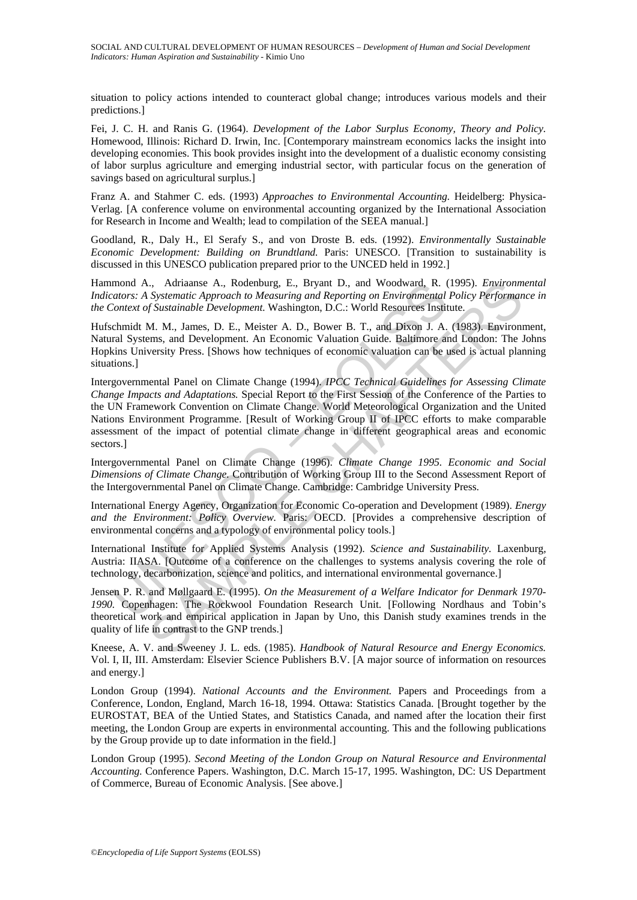situation to policy actions intended to counteract global change; introduces various models and their predictions.]

Fei, J. C. H. and Ranis G. (1964). *Development of the Labor Surplus Economy, Theory and Policy.* Homewood, Illinois: Richard D. Irwin, Inc. [Contemporary mainstream economics lacks the insight into developing economies. This book provides insight into the development of a dualistic economy consisting of labor surplus agriculture and emerging industrial sector, with particular focus on the generation of savings based on agricultural surplus.]

Franz A. and Stahmer C. eds. (1993) *Approaches to Environmental Accounting.* Heidelberg: Physica-Verlag. [A conference volume on environmental accounting organized by the International Association for Research in Income and Wealth; lead to compilation of the SEEA manual.]

Goodland, R., Daly H., El Serafy S., and von Droste B. eds. (1992). *Environmentally Sustainable Economic Development: Building on Brundtland.* Paris: UNESCO. [Transition to sustainability is discussed in this UNESCO publication prepared prior to the UNCED held in 1992.]

Hammond A., Adriaanse A., Rodenburg, E., Bryant D., and Woodward, R. (1995). *Environmental Indicators: A Systematic Approach to Measuring and Reporting on Environmental Policy Performance in the Context of Sustainable Development.* Washington, D.C.: World Resources Institute.

Hufschmidt M. M., James, D. E., Meister A. D., Bower B. T., and Dixon J. A. (1983). Environment, Natural Systems, and Development. An Economic Valuation Guide. Baltimore and London: The Johns Hopkins University Press. [Shows how techniques of economic valuation can be used is actual planning situations.]

mond A., Adriaanse A., Rodenburg, E., Bryant D., and Woodward, R.<br>
actors: A Systematic Approach to Measuring and Reporting on Emvironmental<br>
context of Sustainable Development. Washington, D.C.: World Resources Institenti .., Adrianas A., Rodenburg, E., Bryatt D., and Woodward, R. (1995). *Environmental Policy Performanch*., Systematic Approach to Measuring and Reporting on Environmental Policy Performanch Sustainable Development. Washingt Intergovernmental Panel on Climate Change (1994). *IPCC Technical Guidelines for Assessing Climate Change Impacts and Adaptations.* Special Report to the First Session of the Conference of the Parties to the UN Framework Convention on Climate Change. World Meteorological Organization and the United Nations Environment Programme. [Result of Working Group II of IPCC efforts to make comparable assessment of the impact of potential climate change in different geographical areas and economic sectors.]

Intergovernmental Panel on Climate Change (1996). *Climate Change 1995. Economic and Social Dimensions of Climate Change.* Contribution of Working Group III to the Second Assessment Report of the Intergovernmental Panel on Climate Change. Cambridge: Cambridge University Press.

International Energy Agency, Organization for Economic Co-operation and Development (1989). *Energy and the Environment: Policy Overview.* Paris: OECD. [Provides a comprehensive description of environmental concerns and a typology of environmental policy tools.]

International Institute for Applied Systems Analysis (1992). *Science and Sustainability.* Laxenburg, Austria: IIASA. [Outcome of a conference on the challenges to systems analysis covering the role of technology, decarbonization, science and politics, and international environmental governance.]

Jensen P. R. and Møllgaard E. (1995). *On the Measurement of a Welfare Indicator for Denmark 1970- 1990.* Copenhagen: The Rockwool Foundation Research Unit. [Following Nordhaus and Tobin's theoretical work and empirical application in Japan by Uno, this Danish study examines trends in the quality of life in contrast to the GNP trends.]

Kneese, A. V. and Sweeney J. L. eds. (1985). *Handbook of Natural Resource and Energy Economics.* Vol. I, II, III. Amsterdam: Elsevier Science Publishers B.V. [A major source of information on resources and energy.]

London Group (1994). *National Accounts and the Environment.* Papers and Proceedings from a Conference, London, England, March 16-18, 1994. Ottawa: Statistics Canada. [Brought together by the EUROSTAT, BEA of the Untied States, and Statistics Canada, and named after the location their first meeting, the London Group are experts in environmental accounting. This and the following publications by the Group provide up to date information in the field.]

London Group (1995). *Second Meeting of the London Group on Natural Resource and Environmental Accounting.* Conference Papers. Washington, D.C. March 15-17, 1995. Washington, DC: US Department of Commerce, Bureau of Economic Analysis. [See above.]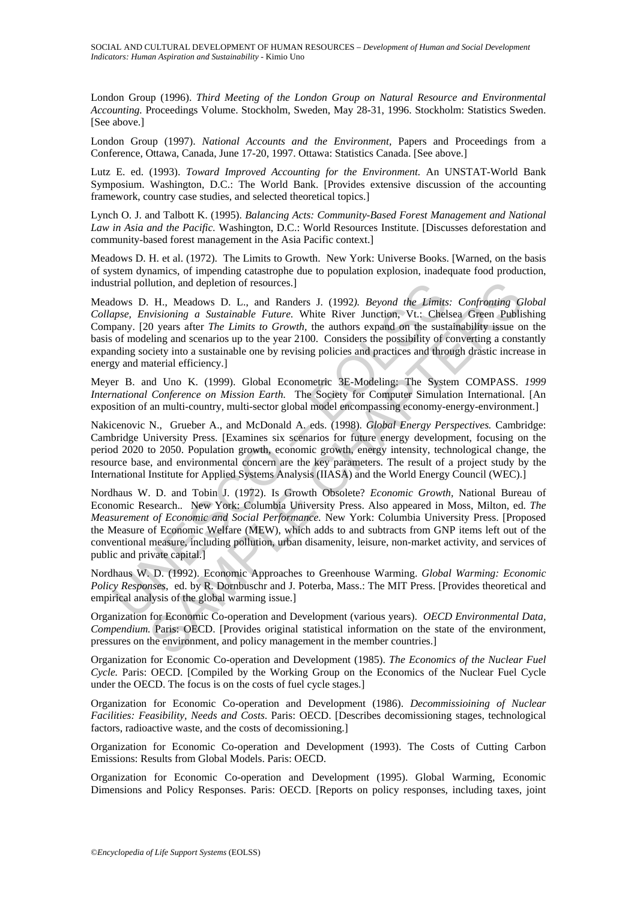London Group (1996). *Third Meeting of the London Group on Natural Resource and Environmental Accounting.* Proceedings Volume. Stockholm, Sweden, May 28-31, 1996. Stockholm: Statistics Sweden. [See above.]

London Group (1997). *National Accounts and the Environment,* Papers and Proceedings from a Conference, Ottawa, Canada, June 17-20, 1997. Ottawa: Statistics Canada. [See above.]

Lutz E. ed. (1993). *Toward Improved Accounting for the Environment.* An UNSTAT-World Bank Symposium. Washington, D.C.: The World Bank. [Provides extensive discussion of the accounting framework, country case studies, and selected theoretical topics.]

Lynch O. J. and Talbott K. (1995). *Balancing Acts: Community-Based Forest Management and National Law in Asia and the Pacific.* Washington, D.C.: World Resources Institute. [Discusses deforestation and community-based forest management in the Asia Pacific context.]

Meadows D. H. et al. (1972). The Limits to Growth. New York: Universe Books. [Warned, on the basis of system dynamics, of impending catastrophe due to population explosion, inadequate food production, industrial pollution, and depletion of resources.]

strial pollution, and depletion of resources.]<br>
dows D. H., Meadows D. L., and Randers J. (1992). *Beyond the Limity*<br>
pray. Envisioning a Sustainable Future. White River Junction, Vt.: Chel<br>
pray. [20 years after *The Lim* lution, and depletion of resources.]<br>
L. H., Meadows D. L., and Randers J. (1992). *Beyond the Limits: Confronting G*<br>
Livisioning a Sustainable Future. White River Junction, Vt.: Chelsea Green Publis<br>
0 years after *The L* Meadows D. H., Meadows D. L., and Randers J. (1992*). Beyond the Limits: Confronting Global Collapse, Envisioning a Sustainable Future.* White River Junction, Vt.: Chelsea Green Publishing Company. [20 years after *The Limits to Growth,* the authors expand on the sustainability issue on the basis of modeling and scenarios up to the year 2100. Considers the possibility of converting a constantly expanding society into a sustainable one by revising policies and practices and through drastic increase in energy and material efficiency.]

Meyer B. and Uno K. (1999). Global Econometric 3E-Modeling: The System COMPASS. *1999 International Conference on Mission Earth.* The Society for Computer Simulation International. [An exposition of an multi-country, multi-sector global model encompassing economy-energy-environment.]

Nakicenovic N., Grueber A., and McDonald A. eds. (1998). *Global Energy Perspectives.* Cambridge: Cambridge University Press. [Examines six scenarios for future energy development, focusing on the period 2020 to 2050. Population growth, economic growth, energy intensity, technological change, the resource base, and environmental concern are the key parameters. The result of a project study by the International Institute for Applied Systems Analysis (IIASA) and the World Energy Council (WEC).]

Nordhaus W. D. and Tobin J. (1972). Is Growth Obsolete? *Economic Growth,* National Bureau of Economic Research.*.* New York: Columbia University Press. Also appeared in Moss, Milton, ed. *The Measurement of Economic and Social Performance.* New York: Columbia University Press. [Proposed the Measure of Economic Welfare (MEW), which adds to and subtracts from GNP items left out of the conventional measure, including pollution, urban disamenity, leisure, non-market activity, and services of public and private capital.]

Nordhaus W. D. (1992). Economic Approaches to Greenhouse Warming. *Global Warming: Economic Policy Responses,* ed. by R. Dornbuschr and J. Poterba, Mass.: The MIT Press. [Provides theoretical and empirical analysis of the global warming issue.]

Organization for Economic Co-operation and Development (various years). *OECD Environmental Data, Compendium.* Paris: OECD. [Provides original statistical information on the state of the environment, pressures on the environment, and policy management in the member countries.]

Organization for Economic Co-operation and Development (1985). *The Economics of the Nuclear Fuel Cycle.* Paris: OECD. [Compiled by the Working Group on the Economics of the Nuclear Fuel Cycle under the OECD. The focus is on the costs of fuel cycle stages.]

Organization for Economic Co-operation and Development (1986). *Decommissioining of Nuclear Facilities: Feasibility, Needs and Costs*. Paris: OECD. [Describes decomissioning stages, technological factors, radioactive waste, and the costs of decomissioning.]

Organization for Economic Co-operation and Development (1993). The Costs of Cutting Carbon Emissions: Results from Global Models. Paris: OECD.

Organization for Economic Co-operation and Development (1995). Global Warming, Economic Dimensions and Policy Responses. Paris: OECD. [Reports on policy responses, including taxes, joint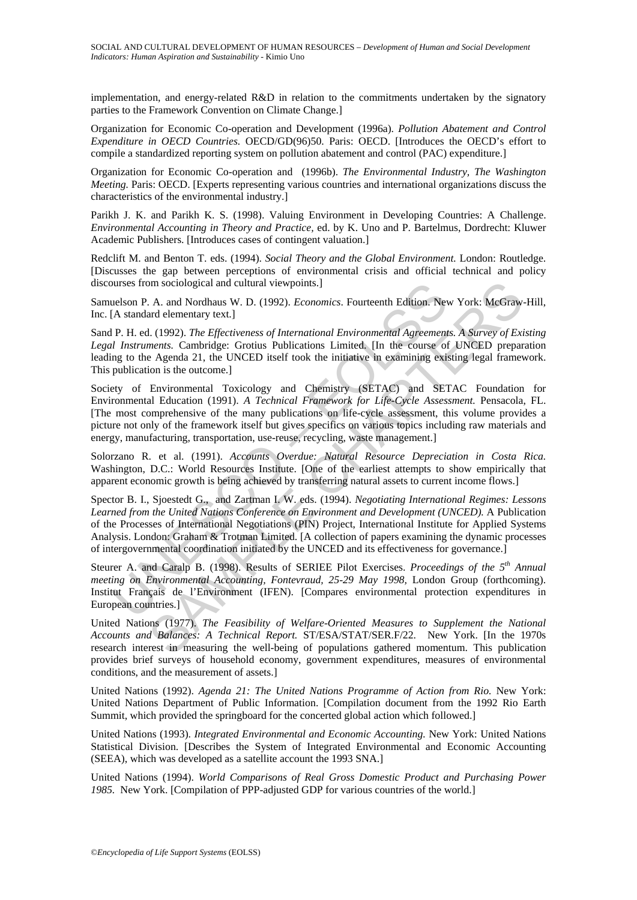implementation, and energy-related R&D in relation to the commitments undertaken by the signatory parties to the Framework Convention on Climate Change.]

Organization for Economic Co-operation and Development (1996a). *Pollution Abatement and Control Expenditure in OECD Countries.* OECD/GD(96)50. Paris: OECD. [Introduces the OECD's effort to compile a standardized reporting system on pollution abatement and control (PAC) expenditure.]

Organization for Economic Co-operation and (1996b). *The Environmental Industry, The Washington Meeting.* Paris: OECD. [Experts representing various countries and international organizations discuss the characteristics of the environmental industry.]

Parikh J. K. and Parikh K. S. (1998). Valuing Environment in Developing Countries: A Challenge. *Environmental Accounting in Theory and Practice,* ed. by K. Uno and P. Bartelmus, Dordrecht: Kluwer Academic Publishers. [Introduces cases of contingent valuation.]

Redclift M. and Benton T. eds. (1994). *Social Theory and the Global Environment.* London: Routledge. [Discusses the gap between perceptions of environmental crisis and official technical and policy discourses from sociological and cultural viewpoints.]

Samuelson P. A. and Nordhaus W. D. (1992). *Economics*. Fourteenth Edition. New York: McGraw-Hill, Inc. [A standard elementary text.]

Sand P. H. ed. (1992). *The Effectiveness of International Environmental Agreements. A Survey of Existing Legal Instruments.* Cambridge: Grotius Publications Limited. [In the course of UNCED preparation leading to the Agenda 21, the UNCED itself took the initiative in examining existing legal framework. This publication is the outcome.]

burses from sociological and cultural viewpoints.]<br>
Lelson P. A. and Nordhaus W. D. (1992). *Economics*. Fourteenth Edition. Nev<br>
A standard elementry text.]<br>
P. H. ed. (1992). The Effectiveness of International Environmen om sociological and cultural viewpoints.]<br>A. and Nordhaus W. D. (1992). *Economics*. Fourteenth Edition. New York: McGraw.<br>ard elementary text.]<br>L. (1992). *The Effectiveness of International Environmental Agreements. A S* Society of Environmental Toxicology and Chemistry (SETAC) and SETAC Foundation for Environmental Education (1991). *A Technical Framework for Life-Cycle Assessment.* Pensacola, FL. [The most comprehensive of the many publications on life-cycle assessment, this volume provides a picture not only of the framework itself but gives specifics on various topics including raw materials and energy, manufacturing, transportation, use-reuse, recycling, waste management.]

Solorzano R. et al. (1991). *Accounts Overdue: Natural Resource Depreciation in Costa Rica.* Washington, D.C.: World Resources Institute. [One of the earliest attempts to show empirically that apparent economic growth is being achieved by transferring natural assets to current income flows.]

Spector B. I., Sjoestedt G., and Zartman I. W. eds. (1994). *Negotiating International Regimes: Lessons Learned from the United Nations Conference on Environment and Development (UNCED).* A Publication of the Processes of International Negotiations (PIN) Project, International Institute for Applied Systems Analysis. London: Graham & Trotman Limited. [A collection of papers examining the dynamic processes of intergovernmental coordination initiated by the UNCED and its effectiveness for governance.]

Steurer A. and Caralp B. (1998). Results of SERIEE Pilot Exercises. *Proceedings of the 5th Annual meeting on Environmental Accounting, Fontevraud, 25-29 May 1998, London Group (forthcoming).* Institut Français de l'Environment (IFEN). [Compares environmental protection expenditures in European countries.]

United Nations (1977). *The Feasibility of Welfare-Oriented Measures to Supplement the National Accounts and Balances: A Technical Report.* ST/ESA/STAT/SER.F/22. New York. [In the 1970s research interest in measuring the well-being of populations gathered momentum. This publication provides brief surveys of household economy, government expenditures, measures of environmental conditions, and the measurement of assets.]

United Nations (1992). *Agenda 21: The United Nations Programme of Action from Rio.* New York: United Nations Department of Public Information. [Compilation document from the 1992 Rio Earth Summit, which provided the springboard for the concerted global action which followed.]

United Nations (1993). *Integrated Environmental and Economic Accounting.* New York: United Nations Statistical Division. [Describes the System of Integrated Environmental and Economic Accounting (SEEA), which was developed as a satellite account the 1993 SNA.]

United Nations (1994). *World Comparisons of Real Gross Domestic Product and Purchasing Power 1985.* New York. [Compilation of PPP-adjusted GDP for various countries of the world.]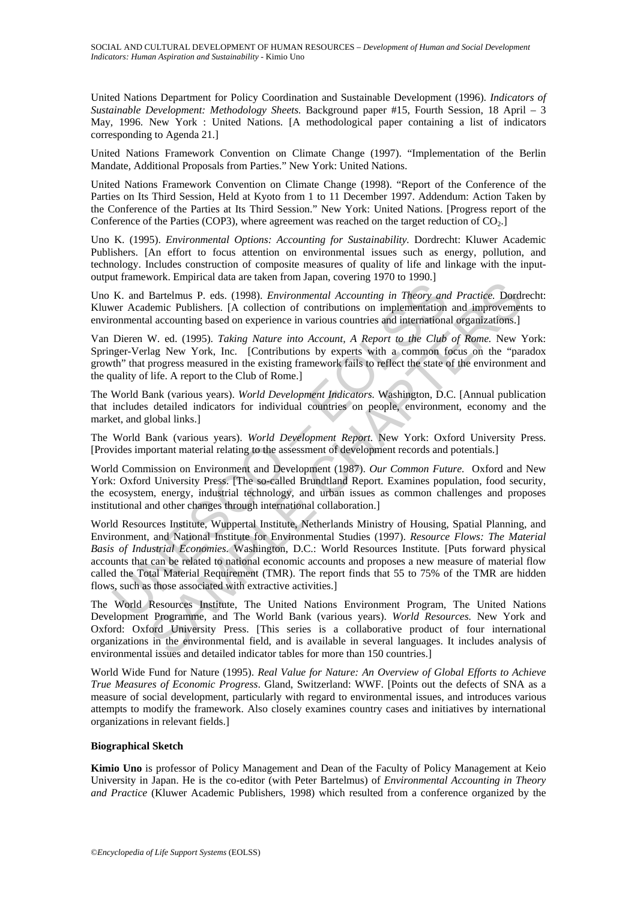United Nations Department for Policy Coordination and Sustainable Development (1996). *Indicators of Sustainable Development: Methodology Sheets.* Background paper #15, Fourth Session, 18 April – 3 May, 1996. New York : United Nations. [A methodological paper containing a list of indicators corresponding to Agenda 21.]

United Nations Framework Convention on Climate Change (1997). "Implementation of the Berlin Mandate, Additional Proposals from Parties." New York: United Nations.

United Nations Framework Convention on Climate Change (1998). "Report of the Conference of the Parties on Its Third Session, Held at Kyoto from 1 to 11 December 1997. Addendum: Action Taken by the Conference of the Parties at Its Third Session." New York: United Nations. [Progress report of the Conference of the Parties (COP3), where agreement was reached on the target reduction of  $CO<sub>2</sub>$ .

Uno K. (1995). *Environmental Options: Accounting for Sustainability.* Dordrecht: Kluwer Academic Publishers. [An effort to focus attention on environmental issues such as energy, pollution, and technology. Includes construction of composite measures of quality of life and linkage with the inputoutput framework. Empirical data are taken from Japan, covering 1970 to 1990.]

Uno K. and Bartelmus P. eds. (1998). *Environmental Accounting in Theory and Practice.* Dordrecht: Kluwer Academic Publishers. [A collection of contributions on implementation and improvements to environmental accounting based on experience in various countries and international organizations.]

Van Dieren W. ed. (1995). *Taking Nature into Account, A Report to the Club of Rome.* New York: Springer-Verlag New York, Inc. [Contributions by experts with a common focus on the "paradox growth" that progress measured in the existing framework fails to reflect the state of the environment and the quality of life. A report to the Club of Rome.]

The World Bank (various years). *World Development Indicators.* Washington, D.C. [Annual publication that includes detailed indicators for individual countries on people, environment, economy and the market, and global links.]

The World Bank (various years). *World Development Report.* New York: Oxford University Press. [Provides important material relating to the assessment of development records and potentials.]

World Commission on Environment and Development (1987). *Our Common Future.* Oxford and New York: Oxford University Press. [The so-called Brundtland Report. Examines population, food security, the ecosystem, energy, industrial technology, and urban issues as common challenges and proposes institutional and other changes through international collaboration.]

K. and Bartelmus P. eds. (1998). *Environmental Accounting in Theory and*<br>ever Academic Publishers. [A collection of contributions on implementation<br>commental accounting based on experience in various countries and interna From Longitude and antical methodomy is the other of the Chapter and a Bartelmus P. eds. (1998). *Environmental Accounting in Theory and Practice*. Dordthenic Publishers. [A collection of contributions on implementation a World Resources Institute, Wuppertal Institute, Netherlands Ministry of Housing, Spatial Planning, and Environment, and National Institute for Environmental Studies (1997). *Resource Flows: The Material Basis of Industrial Economies.* Washington, D.C.: World Resources Institute. [Puts forward physical accounts that can be related to national economic accounts and proposes a new measure of material flow called the Total Material Requirement (TMR). The report finds that 55 to 75% of the TMR are hidden flows, such as those associated with extractive activities.]

The World Resources Institute, The United Nations Environment Program, The United Nations Development Programme, and The World Bank (various years). *World Resources.* New York and Oxford: Oxford University Press. [This series is a collaborative product of four international organizations in the environmental field, and is available in several languages. It includes analysis of environmental issues and detailed indicator tables for more than 150 countries.]

World Wide Fund for Nature (1995). *Real Value for Nature: An Overview of Global Efforts to Achieve True Measures of Economic Progress*. Gland, Switzerland: WWF. [Points out the defects of SNA as a measure of social development, particularly with regard to environmental issues, and introduces various attempts to modify the framework. Also closely examines country cases and initiatives by international organizations in relevant fields.]

#### **Biographical Sketch**

**Kimio Uno** is professor of Policy Management and Dean of the Faculty of Policy Management at Keio University in Japan. He is the co-editor (with Peter Bartelmus) of *Environmental Accounting in Theory and Practice* (Kluwer Academic Publishers, 1998) which resulted from a conference organized by the